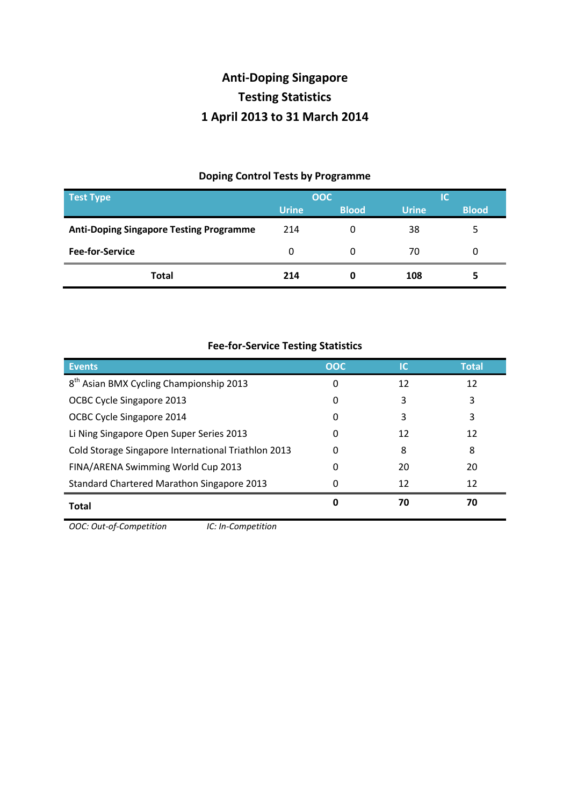## **Anti-Doping Singapore Testing Statistics 1 April 2013 to 31 March 2014**

## **Doping Control Tests by Programme**

| <b>Test Type</b>                               | OOC          |              | IС           |              |
|------------------------------------------------|--------------|--------------|--------------|--------------|
|                                                | <b>Urine</b> | <b>Blood</b> | <b>Urine</b> | <b>Blood</b> |
| <b>Anti-Doping Singapore Testing Programme</b> | 214          | 0            | 38           |              |
| <b>Fee-for-Service</b>                         | 0            | 0            | 70           |              |
| <b>Total</b>                                   | 214          | 0            | 108          |              |

| Events                                              | <b>OOC</b> | IC | <b>Total</b> |
|-----------------------------------------------------|------------|----|--------------|
| 8 <sup>th</sup> Asian BMX Cycling Championship 2013 | 0          | 12 | 12           |
| OCBC Cycle Singapore 2013                           | 0          | 3  | 3            |
| OCBC Cycle Singapore 2014                           | 0          | 3  | 3            |
| Li Ning Singapore Open Super Series 2013            | 0          | 12 | 12           |
| Cold Storage Singapore International Triathlon 2013 |            | 8  | 8            |
| FINA/ARENA Swimming World Cup 2013                  |            | 20 | 20           |
| <b>Standard Chartered Marathon Singapore 2013</b>   |            | 12 | 12           |
| <b>Total</b>                                        | O          | 70 | 70           |

**Fee-for-Service Testing Statistics**

*OOC: Out-of-Competition IC: In-Competition*